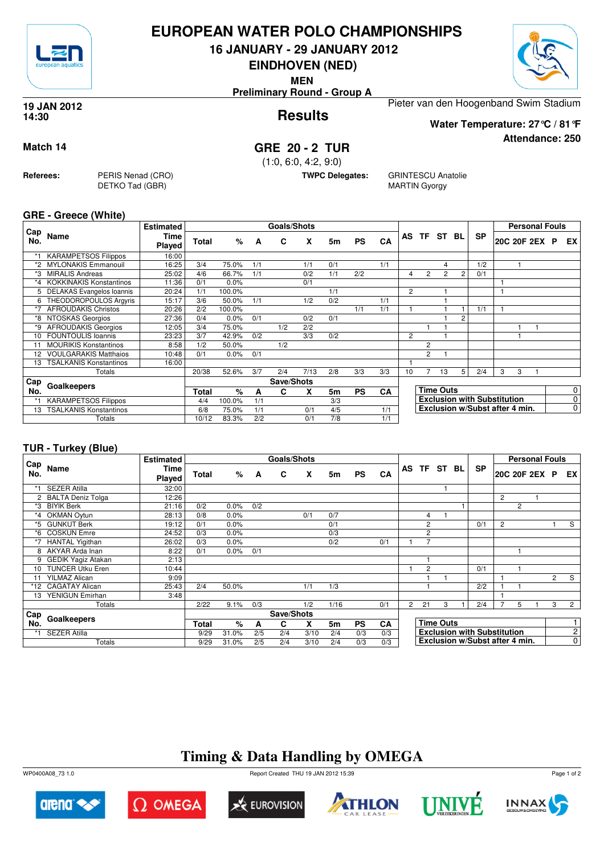

### **EUROPEAN WATER POLO CHAMPIONSHIPS**

**16 JANUARY - 29 JANUARY 2012**

**EINDHOVEN (NED)**

**MEN**

**Preliminary Round - Group A**



**Attendance: 250**

**Results 19 JAN 2012 14:30**

Pieter van den Hoogenband Swim Stadium **Water Temperature: 27°C / 81°F**

#### **Match 14 GRE 20 - 2 TUR**

(1:0, 6:0, 4:2, 9:0)

**TWPC Delegates:** GRINTESCU Anatolie MARTIN Gyorgy

**GRE - Greece (White)**

**Referees:** PERIS Nenad (CRO)

DETKO Tad (GBR)

| Cap     |                                | <b>Estimated</b> |       |        |     | <b>Goals/Shots</b> |      |     |           |     |    |                |                  |    |                                    |              | <b>Personal Fouls</b> |   |                 |
|---------|--------------------------------|------------------|-------|--------|-----|--------------------|------|-----|-----------|-----|----|----------------|------------------|----|------------------------------------|--------------|-----------------------|---|-----------------|
| No.     | Name                           | Time<br>Played   | Total | %      | A   | C                  | x    | 5m  | <b>PS</b> | CA  | AS | <b>TF</b>      | ST               | BL | <b>SP</b>                          | 20C 20F 2EX  |                       | P | EX <sup>1</sup> |
|         | <b>KARAMPETSOS Filippos</b>    | 16:00            |       |        |     |                    |      |     |           |     |    |                |                  |    |                                    |              |                       |   |                 |
| *2      | <b>MYLONAKIS Emmanouil</b>     | 16:25            | 3/4   | 75.0%  | 1/1 |                    | 1/1  | 0/1 |           | 1/1 |    |                | Δ                |    | 1/2                                |              |                       |   |                 |
|         | <b>MIRALIS Andreas</b>         | 25:02            | 4/6   | 66.7%  | 1/1 |                    | 0/2  | 1/1 | 2/2       |     | 4  | $\overline{2}$ | $\overline{2}$   | 2  | 0/1                                |              |                       |   |                 |
| $*_{4}$ | <b>KOKKINAKIS Konstantinos</b> | 11:36            | 0/1   | 0.0%   |     |                    | 0/1  |     |           |     |    |                |                  |    |                                    |              |                       |   |                 |
|         | 5 DELAKAS Evangelos Ioannis    | 20:24            | 1/1   | 100.0% |     |                    |      | 1/1 |           |     | 2  |                |                  |    |                                    |              |                       |   |                 |
| 6       | THEODOROPOULOS Argyris         | 15:17            | 3/6   | 50.0%  | 1/1 |                    | 1/2  | 0/2 |           | 1/1 |    |                |                  |    |                                    |              |                       |   |                 |
| *7      | <b>AFROUDAKIS Christos</b>     | 20:26            | 2/2   | 100.0% |     |                    |      |     | 1/1       | 1/1 |    |                |                  |    | 1/1                                | $\mathbf{1}$ |                       |   |                 |
| *8      | NTOSKAS Georgios               | 27:36            | 0/4   | 0.0%   | 0/1 |                    | 0/2  | 0/1 |           |     |    |                |                  | 2  |                                    |              |                       |   |                 |
| *9      | <b>AFROUDAKIS Georgios</b>     | 12:05            | 3/4   | 75.0%  |     | 1/2                | 2/2  |     |           |     |    |                |                  |    |                                    |              |                       |   |                 |
| 10      | <b>FOUNTOULIS Ioannis</b>      | 23:23            | 3/7   | 42.9%  | 0/2 |                    | 3/3  | 0/2 |           |     | 2  |                |                  |    |                                    |              |                       |   |                 |
| 11      | <b>MOURIKIS Konstantinos</b>   | 8:58             | 1/2   | 50.0%  |     | 1/2                |      |     |           |     |    | $\overline{2}$ |                  |    |                                    |              |                       |   |                 |
|         | <b>VOULGARAKIS Matthaios</b>   | 10:48            | 0/1   | 0.0%   | 0/1 |                    |      |     |           |     |    | $\overline{2}$ |                  |    |                                    |              |                       |   |                 |
| 13      | <b>TSALKANIS Konstantinos</b>  | 16:00            |       |        |     |                    |      |     |           |     |    |                |                  |    |                                    |              |                       |   |                 |
|         | Totals                         |                  | 20/38 | 52.6%  | 3/7 | 2/4                | 7/13 | 2/8 | 3/3       | 3/3 | 10 |                | 13               | 5  | 2/4                                | 3            | 3                     |   |                 |
| Cap     |                                |                  |       |        |     | Save/Shots         |      |     |           |     |    |                |                  |    |                                    |              |                       |   |                 |
| No.     | Goalkeepers                    |                  | Total | %      | A   | C                  | X    | 5m  | <b>PS</b> | CA  |    |                | <b>Time Outs</b> |    |                                    |              |                       |   | $\overline{0}$  |
|         | <b>KARAMPETSOS Filippos</b>    |                  | 4/4   | 100.0% | 1/1 |                    |      | 3/3 |           |     |    |                |                  |    | <b>Exclusion with Substitution</b> |              |                       |   | $\overline{0}$  |
| 13      | <b>TSALKANIS Konstantinos</b>  |                  | 6/8   | 75.0%  | 1/1 |                    | 0/1  | 4/5 |           | 1/1 |    |                |                  |    | Exclusion w/Subst after 4 min.     |              |                       |   | $\overline{0}$  |
|         | Totals                         |                  | 10/12 | 83.3%  | 2/2 |                    | 0/1  | 7/8 |           | 1/1 |    |                |                  |    |                                    |              |                       |   |                 |

#### **TUR - Turkey (Blue)**

|            |                           | <b>Estimated</b> |              |       |     | <b>Goals/Shots</b> |      |      |           |     |                |                |                  |                                    |                |                | <b>Personal Fouls</b> |                |                |
|------------|---------------------------|------------------|--------------|-------|-----|--------------------|------|------|-----------|-----|----------------|----------------|------------------|------------------------------------|----------------|----------------|-----------------------|----------------|----------------|
| Cap<br>No. | <b>Name</b>               | Time<br>Played   | <b>Total</b> | %     | A   | C                  | X    | 5m   | <b>PS</b> | CA  |                |                | AS TF ST BL      | <b>SP</b>                          | 20C 20F 2EX P  |                |                       |                | EX I           |
|            | <b>SEZER Atilla</b>       | 32:00            |              |       |     |                    |      |      |           |     |                |                |                  |                                    |                |                |                       |                |                |
|            | <b>BALTA Deniz Tolga</b>  | 12:26            |              |       |     |                    |      |      |           |     |                |                |                  |                                    | 2              |                |                       |                |                |
| *3         | <b>BIYIK Berk</b>         | 21:16            | 0/2          | 0.0%  | 0/2 |                    |      |      |           |     |                |                |                  |                                    |                | $\overline{2}$ |                       |                |                |
| *4         | <b>OKMAN Oytun</b>        | 28:13            | 0/8          | 0.0%  |     |                    | 0/1  | 0/7  |           |     |                | 4              |                  |                                    |                |                |                       |                |                |
| *5         | <b>GUNKUT Berk</b>        | 19:12            | 0/1          | 0.0%  |     |                    |      | 0/1  |           |     |                | $\overline{2}$ |                  | 0/1                                | $\overline{c}$ |                |                       |                | S              |
| *6         | <b>COSKUN Emre</b>        | 24:52            | 0/3          | 0.0%  |     |                    |      | 0/3  |           |     |                | $\overline{2}$ |                  |                                    |                |                |                       |                |                |
| $*7$       | <b>HANTAL Yigithan</b>    | 26:02            | 0/3          | 0.0%  |     |                    |      | 0/2  |           | 0/1 |                | $\overline{7}$ |                  |                                    |                |                |                       |                |                |
| 8          | AKYAR Arda Inan           | 8:22             | 0/1          | 0.0%  | 0/1 |                    |      |      |           |     |                |                |                  |                                    |                |                |                       |                |                |
| 9          | <b>GEDIK Yagiz Atakan</b> | 2:13             |              |       |     |                    |      |      |           |     |                |                |                  |                                    |                |                |                       |                |                |
| 10         | <b>TUNCER Utku Eren</b>   | 10:44            |              |       |     |                    |      |      |           |     |                | $\overline{2}$ |                  | 0/1                                |                |                |                       |                |                |
| 11         | <b>YILMAZ Alican</b>      | 9:09             |              |       |     |                    |      |      |           |     |                |                |                  |                                    |                |                |                       | $\overline{2}$ | S              |
| *12        | <b>CAGATAY Alican</b>     | 25:43            | 2/4          | 50.0% |     |                    | 1/1  | 1/3  |           |     |                |                |                  | 2/2                                |                |                |                       |                |                |
| 13         | YENIGUN Emirhan           | 3:48             |              |       |     |                    |      |      |           |     |                |                |                  |                                    |                |                |                       |                |                |
|            | Totals                    |                  | 2/22         | 9.1%  | 0/3 |                    | 1/2  | 1/16 |           | 0/1 | $\overline{2}$ | 21             | 3                | 2/4                                | 7              | 5              |                       | 3              | $\overline{2}$ |
| Cap        |                           |                  |              |       |     | Save/Shots         |      |      |           |     |                |                |                  |                                    |                |                |                       |                |                |
| No.        | Goalkeepers               |                  | <b>Total</b> | $\%$  | A   | C                  | X    | 5m   | <b>PS</b> | CA  |                |                | <b>Time Outs</b> |                                    |                |                |                       |                |                |
|            | <b>SEZER Atilla</b>       |                  | 9/29         | 31.0% | 2/5 | 2/4                | 3/10 | 2/4  | 0/3       | 0/3 |                |                |                  | <b>Exclusion with Substitution</b> |                |                |                       |                | $\mathbf{2}$   |
|            | Totals                    |                  | 9/29         | 31.0% | 2/5 | 2/4                | 3/10 | 2/4  | 0/3       | 0/3 |                |                |                  | Exclusion w/Subst after 4 min.     |                |                |                       |                | $\overline{0}$ |

# **Timing & Data Handling by OMEGA**

WP0400A08\_73 1.0 Report Created THU 19 JAN 2012 15:39













Page 1 of 2